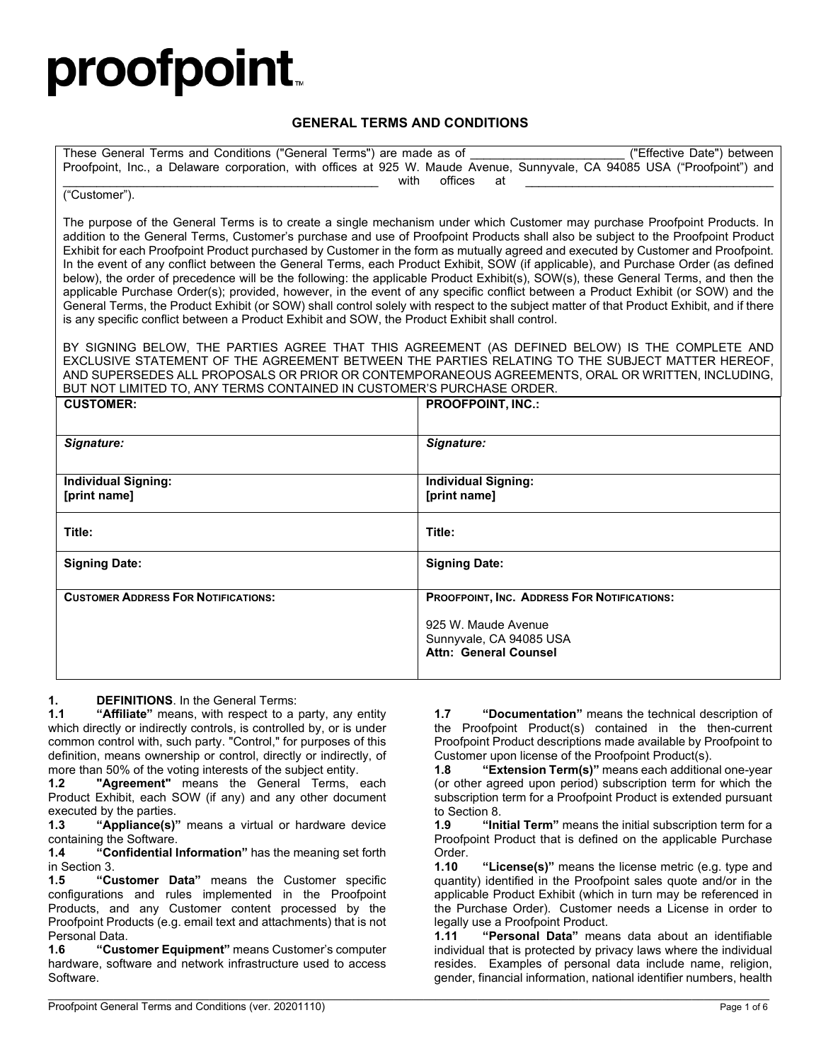# proofpoint.

#### **GENERAL TERMS AND CONDITIONS**

| These General Terms and Conditions ("General Terms") are made as of                                                       |      |         |      |  |  | ("Effective Date") between |  |
|---------------------------------------------------------------------------------------------------------------------------|------|---------|------|--|--|----------------------------|--|
| Proofpoint, Inc., a Delaware corporation, with offices at 925 W. Maude Avenue, Sunnyvale, CA 94085 USA ("Proofpoint") and |      |         |      |  |  |                            |  |
|                                                                                                                           | with | offices | at a |  |  |                            |  |

#### ("Customer").

The purpose of the General Terms is to create a single mechanism under which Customer may purchase Proofpoint Products. In addition to the General Terms, Customer's purchase and use of Proofpoint Products shall also be subject to the Proofpoint Product Exhibit for each Proofpoint Product purchased by Customer in the form as mutually agreed and executed by Customer and Proofpoint. In the event of any conflict between the General Terms, each Product Exhibit, SOW (if applicable), and Purchase Order (as defined below), the order of precedence will be the following: the applicable Product Exhibit(s), SOW(s), these General Terms, and then the applicable Purchase Order(s); provided, however, in the event of any specific conflict between a Product Exhibit (or SOW) and the General Terms, the Product Exhibit (or SOW) shall control solely with respect to the subject matter of that Product Exhibit, and if there is any specific conflict between a Product Exhibit and SOW, the Product Exhibit shall control.

BY SIGNING BELOW, THE PARTIES AGREE THAT THIS AGREEMENT (AS DEFINED BELOW) IS THE COMPLETE AND EXCLUSIVE STATEMENT OF THE AGREEMENT BETWEEN THE PARTIES RELATING TO THE SUBJECT MATTER HEREOF, AND SUPERSEDES ALL PROPOSALS OR PRIOR OR CONTEMPORANEOUS AGREEMENTS, ORAL OR WRITTEN, INCLUDING, BUT NOT LIMITED TO, ANY TERMS CONTAINED IN CUSTOMER'S PURCHASE ORDER.

| <b>CUSTOMER:</b>                           | <b>PROOFPOINT, INC.:</b>                                                                                                      |
|--------------------------------------------|-------------------------------------------------------------------------------------------------------------------------------|
| Signature:                                 | Signature:                                                                                                                    |
| <b>Individual Signing:</b><br>[print name] | <b>Individual Signing:</b><br>[print name]                                                                                    |
| Title:                                     | Title:                                                                                                                        |
| <b>Signing Date:</b>                       | <b>Signing Date:</b>                                                                                                          |
| <b>CUSTOMER ADDRESS FOR NOTIFICATIONS:</b> | PROOFPOINT, INC. ADDRESS FOR NOTIFICATIONS:<br>925 W. Maude Avenue<br>Sunnyvale, CA 94085 USA<br><b>Attn: General Counsel</b> |

 $\mathcal{L}_\mathcal{L} = \mathcal{L}_\mathcal{L} = \mathcal{L}_\mathcal{L} = \mathcal{L}_\mathcal{L} = \mathcal{L}_\mathcal{L} = \mathcal{L}_\mathcal{L} = \mathcal{L}_\mathcal{L} = \mathcal{L}_\mathcal{L} = \mathcal{L}_\mathcal{L} = \mathcal{L}_\mathcal{L} = \mathcal{L}_\mathcal{L} = \mathcal{L}_\mathcal{L} = \mathcal{L}_\mathcal{L} = \mathcal{L}_\mathcal{L} = \mathcal{L}_\mathcal{L} = \mathcal{L}_\mathcal{L} = \mathcal{L}_\mathcal{L}$ 

**1. DEFINITIONS**. In the General Terms:<br>**1.1 "Affiliate**" means. with respect to a

"**Affiliate**" means, with respect to a party, any entity which directly or indirectly controls, is controlled by, or is under common control with, such party. "Control," for purposes of this definition, means ownership or control, directly or indirectly, of more than 50% of the voting interests of the subject entity.<br>**1.2 "Agreement"** means the General Terms.

**1.2 "Agreement"** means the General Terms, each Product Exhibit, each SOW (if any) and any other document executed by the parties.<br>1.3 **"Appliance(s)"** 

**1.3 "Appliance(s)"** means a virtual or hardware device containing the Software.<br>1.4 "Confidential li

**1.4 "Confidential Information"** has the meaning set forth in Section 3.

**1.5 "Customer Data"** means the Customer specific configurations and rules implemented in the Proofpoint Products, and any Customer content processed by the Proofpoint Products (e.g. email text and attachments) that is not Personal Data.

**1.6 "Customer Equipment"** means Customer's computer hardware, software and network infrastructure used to access Software.

**1.7 "Documentation"** means the technical description of the Proofpoint Product(s) contained in the then-current Proofpoint Product descriptions made available by Proofpoint to Customer upon license of the Proofpoint Product(s).

**1.8 "Extension Term(s)"** means each additional one-year (or other agreed upon period) subscription term for which the subscription term for a Proofpoint Product is extended pursuant to Section 8.<br>1.9 **Times** 

"Initial Term" means the initial subscription term for a Proofpoint Product that is defined on the applicable Purchase Order.

**1.10 "License(s)"** means the license metric (e.g. type and quantity) identified in the Proofpoint sales quote and/or in the applicable Product Exhibit (which in turn may be referenced in the Purchase Order). Customer needs a License in order to legally use a Proofpoint Product.<br>**1.11 "Personal Data"** mear

**1.11 "Personal Data"** means data about an identifiable individual that is protected by privacy laws where the individual resides. Examples of personal data include name, religion, gender, financial information, national identifier numbers, health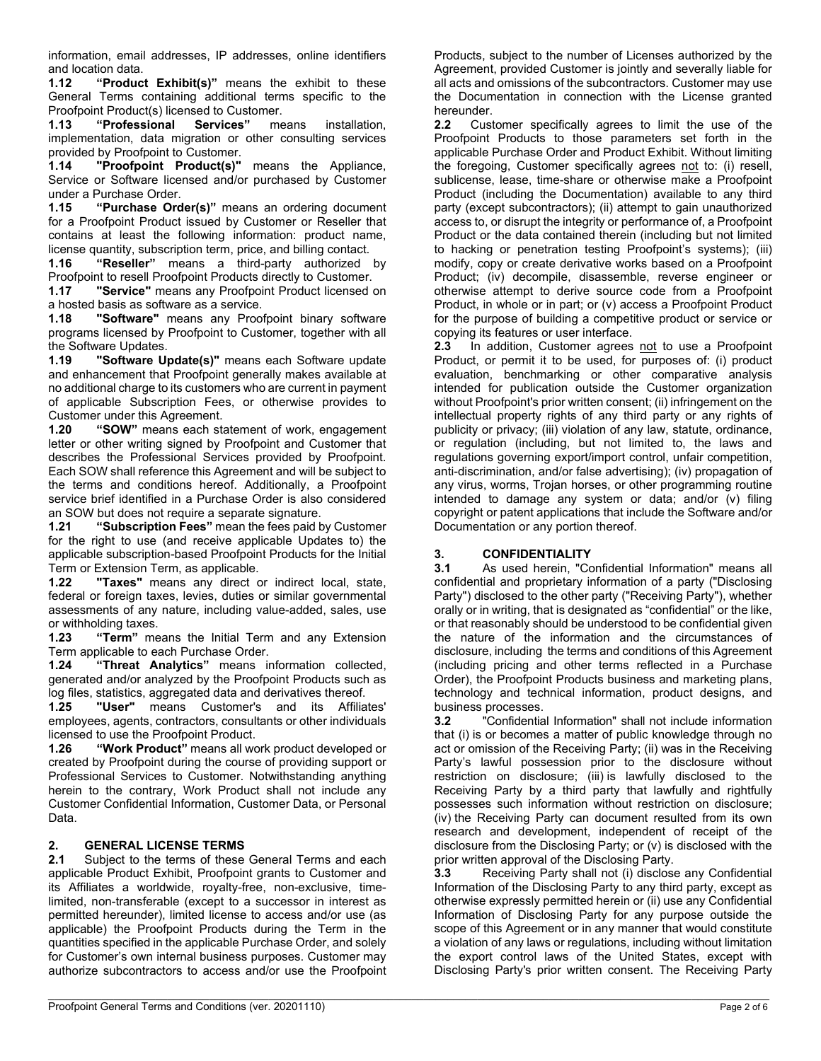information, email addresses, IP addresses, online identifiers

and location data. **1.12 "Product Exhibit(s)"** means the exhibit to these General Terms containing additional terms specific to the Proofpoint Product(s) licensed to Customer.<br>**1.13 "Professional Services"** means

**1.13 "Professional Services"** means installation, implementation, data migration or other consulting services provided by Proofpoint to Customer.

**1.14 "Proofpoint Product(s)"** means the Appliance, Service or Software licensed and/or purchased by Customer

under a Purchase Order. **1.15 "Purchase Order(s)"** means an ordering document for a Proofpoint Product issued by Customer or Reseller that contains at least the following information: product name, license quantity, subscription term, price, and billing contact.<br>**1.16 "Reseller"** means a third-party authorized

**1.16 "Reseller"** means a third-party authorized by Proofpoint to resell Proofpoint Products directly to Customer.

**1.17 "Service"** means any Proofpoint Product licensed on a hosted basis as software as a service.

**1.18 "Software"** means any Proofpoint binary software programs licensed by Proofpoint to Customer, together with all the Software Updates.

**1.19 "Software Update(s)"** means each Software update and enhancement that Proofpoint generally makes available at no additional charge to its customers who are current in payment of applicable Subscription Fees, or otherwise provides to Customer under this Agreement.<br>1.20 "SOW" means each sta

"SOW" means each statement of work, engagement letter or other writing signed by Proofpoint and Customer that describes the Professional Services provided by Proofpoint. Each SOW shall reference this Agreement and will be subject to the terms and conditions hereof. Additionally, a Proofpoint service brief identified in a Purchase Order is also considered an SOW but does not require a separate signature.

**1.21 "Subscription Fees"** mean the fees paid by Customer for the right to use (and receive applicable Updates to) the applicable subscription-based Proofpoint Products for the Initial Term or Extension Term, as applicable.

"Taxes" means any direct or indirect local, state, federal or foreign taxes, levies, duties or similar governmental assessments of any nature, including value-added, sales, use or withholding taxes.

**1.23 "Term"** means the Initial Term and any Extension Term applicable to each Purchase Order.

**1.24 "Threat Analytics"** means information collected, generated and/or analyzed by the Proofpoint Products such as log files, statistics, aggregated data and derivatives thereof.

**1.25 "User"** means Customer's and its Affiliates' employees, agents, contractors, consultants or other individuals licensed to use the Proofpoint Product.

**1.26 "Work Product"** means all work product developed or created by Proofpoint during the course of providing support or Professional Services to Customer. Notwithstanding anything herein to the contrary, Work Product shall not include any Customer Confidential Information, Customer Data, or Personal Data.

#### **2. GENERAL LICENSE TERMS**

**2.1** Subject to the terms of these General Terms and each applicable Product Exhibit, Proofpoint grants to Customer and its Affiliates a worldwide, royalty-free, non-exclusive, timelimited, non-transferable (except to a successor in interest as permitted hereunder), limited license to access and/or use (as applicable) the Proofpoint Products during the Term in the quantities specified in the applicable Purchase Order, and solely for Customer's own internal business purposes. Customer may authorize subcontractors to access and/or use the Proofpoint Products, subject to the number of Licenses authorized by the Agreement, provided Customer is jointly and severally liable for all acts and omissions of the subcontractors. Customer may use the Documentation in connection with the License granted hereunder.<br>2.2 Cust

**2.2** Customer specifically agrees to limit the use of the Proofpoint Products to those parameters set forth in the applicable Purchase Order and Product Exhibit. Without limiting the foregoing, Customer specifically agrees not to: (i) resell, sublicense, lease, time-share or otherwise make a Proofpoint Product (including the Documentation) available to any third party (except subcontractors); (ii) attempt to gain unauthorized access to, or disrupt the integrity or performance of, a Proofpoint Product or the data contained therein (including but not limited to hacking or penetration testing Proofpoint's systems); (iii) modify, copy or create derivative works based on a Proofpoint Product; (iv) decompile, disassemble, reverse engineer or otherwise attempt to derive source code from a Proofpoint Product, in whole or in part; or (v) access a Proofpoint Product for the purpose of building a competitive product or service or copying its features or user interface.<br>**2.3** In addition, Customer agrees

**2.3** In addition, Customer agrees not to use a Proofpoint Product, or permit it to be used, for purposes of: (i) product evaluation, benchmarking or other comparative analysis intended for publication outside the Customer organization without Proofpoint's prior written consent; (ii) infringement on the intellectual property rights of any third party or any rights of publicity or privacy; (iii) violation of any law, statute, ordinance, or regulation (including, but not limited to, the laws and regulations governing export/import control, unfair competition, anti-discrimination, and/or false advertising); (iv) propagation of any virus, worms, Trojan horses, or other programming routine intended to damage any system or data; and/or (v) filing copyright or patent applications that include the Software and/or Documentation or any portion thereof.

### **3. CONFIDENTIALITY**<br>**3.1** As used herein. "Co

**3.1** As used herein, "Confidential Information" means all confidential and proprietary information of a party ("Disclosing Party") disclosed to the other party ("Receiving Party"), whether orally or in writing, that is designated as "confidential" or the like, or that reasonably should be understood to be confidential given the nature of the information and the circumstances of disclosure, including the terms and conditions of this Agreement (including pricing and other terms reflected in a Purchase Order), the Proofpoint Products business and marketing plans, technology and technical information, product designs, and business processes.

**3.2** "Confidential Information" shall not include information that (i) is or becomes a matter of public knowledge through no act or omission of the Receiving Party; (ii) was in the Receiving Party's lawful possession prior to the disclosure without restriction on disclosure; (iii) is lawfully disclosed to the Receiving Party by a third party that lawfully and rightfully possesses such information without restriction on disclosure; (iv) the Receiving Party can document resulted from its own research and development, independent of receipt of the disclosure from the Disclosing Party; or (v) is disclosed with the prior written approval of the Disclosing Party.

**3.3** Receiving Party shall not (i) disclose any Confidential Information of the Disclosing Party to any third party, except as otherwise expressly permitted herein or (ii) use any Confidential Information of Disclosing Party for any purpose outside the scope of this Agreement or in any manner that would constitute a violation of any laws or regulations, including without limitation the export control laws of the United States, except with Disclosing Party's prior written consent. The Receiving Party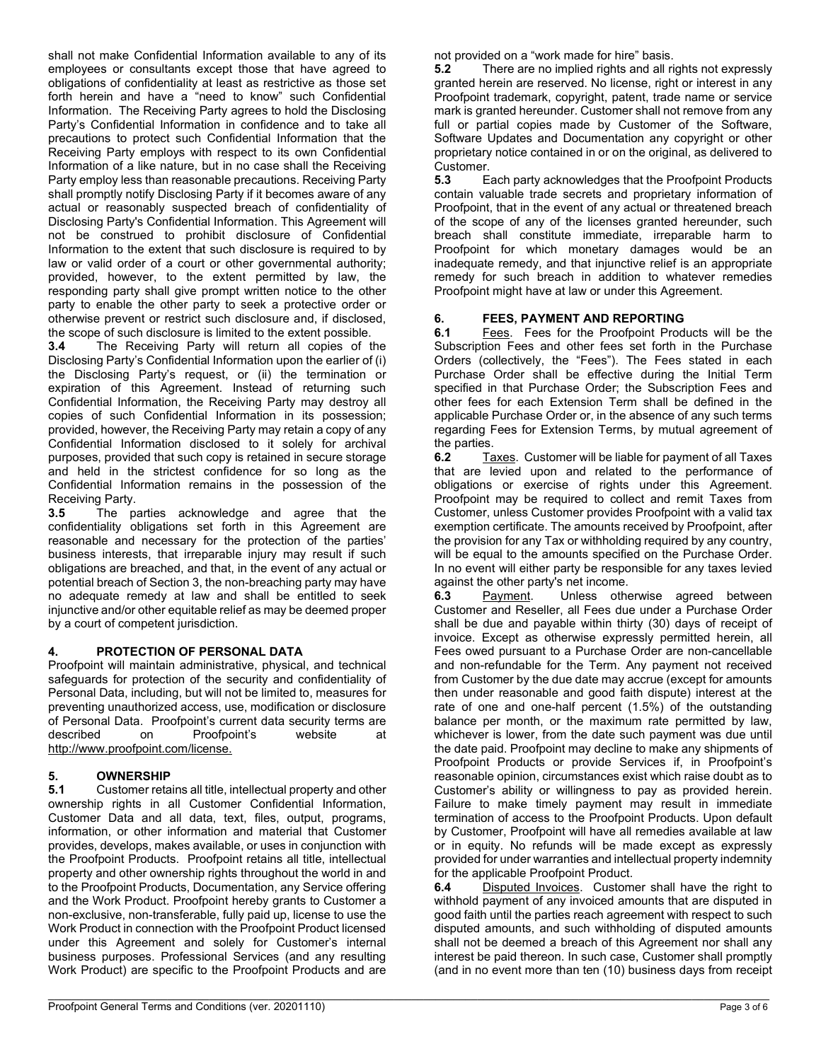shall not make Confidential Information available to any of its employees or consultants except those that have agreed to obligations of confidentiality at least as restrictive as those set forth herein and have a "need to know" such Confidential Information. The Receiving Party agrees to hold the Disclosing Party's Confidential Information in confidence and to take all precautions to protect such Confidential Information that the Receiving Party employs with respect to its own Confidential Information of a like nature, but in no case shall the Receiving Party employ less than reasonable precautions. Receiving Party shall promptly notify Disclosing Party if it becomes aware of any actual or reasonably suspected breach of confidentiality of Disclosing Party's Confidential Information. This Agreement will not be construed to prohibit disclosure of Confidential Information to the extent that such disclosure is required to by law or valid order of a court or other governmental authority; provided, however, to the extent permitted by law, the responding party shall give prompt written notice to the other party to enable the other party to seek a protective order or otherwise prevent or restrict such disclosure and, if disclosed, the scope of such disclosure is limited to the extent possible.<br>3.4 The Receiving Party will return all copies of t

**3.4** The Receiving Party will return all copies of the Disclosing Party's Confidential Information upon the earlier of (i) the Disclosing Party's request, or (ii) the termination or expiration of this Agreement. Instead of returning such Confidential Information, the Receiving Party may destroy all copies of such Confidential Information in its possession; provided, however, the Receiving Party may retain a copy of any Confidential Information disclosed to it solely for archival purposes, provided that such copy is retained in secure storage and held in the strictest confidence for so long as the Confidential Information remains in the possession of the Receiving Party.

**3.5** The parties acknowledge and agree that the confidentiality obligations set forth in this Agreement are reasonable and necessary for the protection of the parties' business interests, that irreparable injury may result if such obligations are breached, and that, in the event of any actual or potential breach of Section 3, the non-breaching party may have no adequate remedy at law and shall be entitled to seek injunctive and/or other equitable relief as may be deemed proper by a court of competent jurisdiction.

#### **4. PROTECTION OF PERSONAL DATA**

Proofpoint will maintain administrative, physical, and technical safeguards for protection of the security and confidentiality of Personal Data, including, but will not be limited to, measures for preventing unauthorized access, use, modification or disclosure of Personal Data. Proofpoint's current data security terms are described on Proofpoint's website at [http://www.proofpoint.com/license.](http://www.proofpoint.com/license)

#### **5. OWNERSHIP**

**5.1** Customer retains all title, intellectual property and other ownership rights in all Customer Confidential Information, Customer Data and all data, text, files, output, programs, information, or other information and material that Customer provides, develops, makes available, or uses in conjunction with the Proofpoint Products. Proofpoint retains all title, intellectual property and other ownership rights throughout the world in and to the Proofpoint Products, Documentation, any Service offering and the Work Product. Proofpoint hereby grants to Customer a non-exclusive, non-transferable, fully paid up, license to use the Work Product in connection with the Proofpoint Product licensed under this Agreement and solely for Customer's internal business purposes. Professional Services (and any resulting Work Product) are specific to the Proofpoint Products and are

not provided on a "work made for hire" basis.<br>**5.2** There are no implied rights and all rig

**5.2** There are no implied rights and all rights not expressly granted herein are reserved. No license, right or interest in any Proofpoint trademark, copyright, patent, trade name or service mark is granted hereunder. Customer shall not remove from any full or partial copies made by Customer of the Software, Software Updates and Documentation any copyright or other proprietary notice contained in or on the original, as delivered to Customer.<br>5.3 E

**5.3** Each party acknowledges that the Proofpoint Products contain valuable trade secrets and proprietary information of Proofpoint, that in the event of any actual or threatened breach of the scope of any of the licenses granted hereunder, such breach shall constitute immediate, irreparable harm to Proofpoint for which monetary damages would be an inadequate remedy, and that injunctive relief is an appropriate remedy for such breach in addition to whatever remedies Proofpoint might have at law or under this Agreement.

### **6. FEES, PAYMENT AND REPORTING**

Fees. Fees for the Proofpoint Products will be the Subscription Fees and other fees set forth in the Purchase Orders (collectively, the "Fees"). The Fees stated in each Purchase Order shall be effective during the Initial Term specified in that Purchase Order; the Subscription Fees and other fees for each Extension Term shall be defined in the applicable Purchase Order or, in the absence of any such terms regarding Fees for Extension Terms, by mutual agreement of the parties.<br>6.2 Ta

**6.2** Taxes. Customer will be liable for payment of all Taxes that are levied upon and related to the performance of obligations or exercise of rights under this Agreement. Proofpoint may be required to collect and remit Taxes from Customer, unless Customer provides Proofpoint with a valid tax exemption certificate. The amounts received by Proofpoint, after the provision for any Tax or withholding required by any country, will be equal to the amounts specified on the Purchase Order. In no event will either party be responsible for any taxes levied

against the other party's net income.<br>**6.3** Payment. Unless other Unless otherwise agreed between Customer and Reseller, all Fees due under a Purchase Order shall be due and payable within thirty (30) days of receipt of invoice. Except as otherwise expressly permitted herein, all Fees owed pursuant to a Purchase Order are non-cancellable and non-refundable for the Term. Any payment not received from Customer by the due date may accrue (except for amounts then under reasonable and good faith dispute) interest at the rate of one and one-half percent (1.5%) of the outstanding balance per month, or the maximum rate permitted by law, whichever is lower, from the date such payment was due until the date paid. Proofpoint may decline to make any shipments of Proofpoint Products or provide Services if, in Proofpoint's reasonable opinion, circumstances exist which raise doubt as to Customer's ability or willingness to pay as provided herein. Failure to make timely payment may result in immediate termination of access to the Proofpoint Products. Upon default by Customer, Proofpoint will have all remedies available at law or in equity. No refunds will be made except as expressly provided for under warranties and intellectual property indemnity for the applicable Proofpoint Product.

**6.4** Disputed Invoices. Customer shall have the right to withhold payment of any invoiced amounts that are disputed in good faith until the parties reach agreement with respect to such disputed amounts, and such withholding of disputed amounts shall not be deemed a breach of this Agreement nor shall any interest be paid thereon. In such case, Customer shall promptly (and in no event more than ten (10) business days from receipt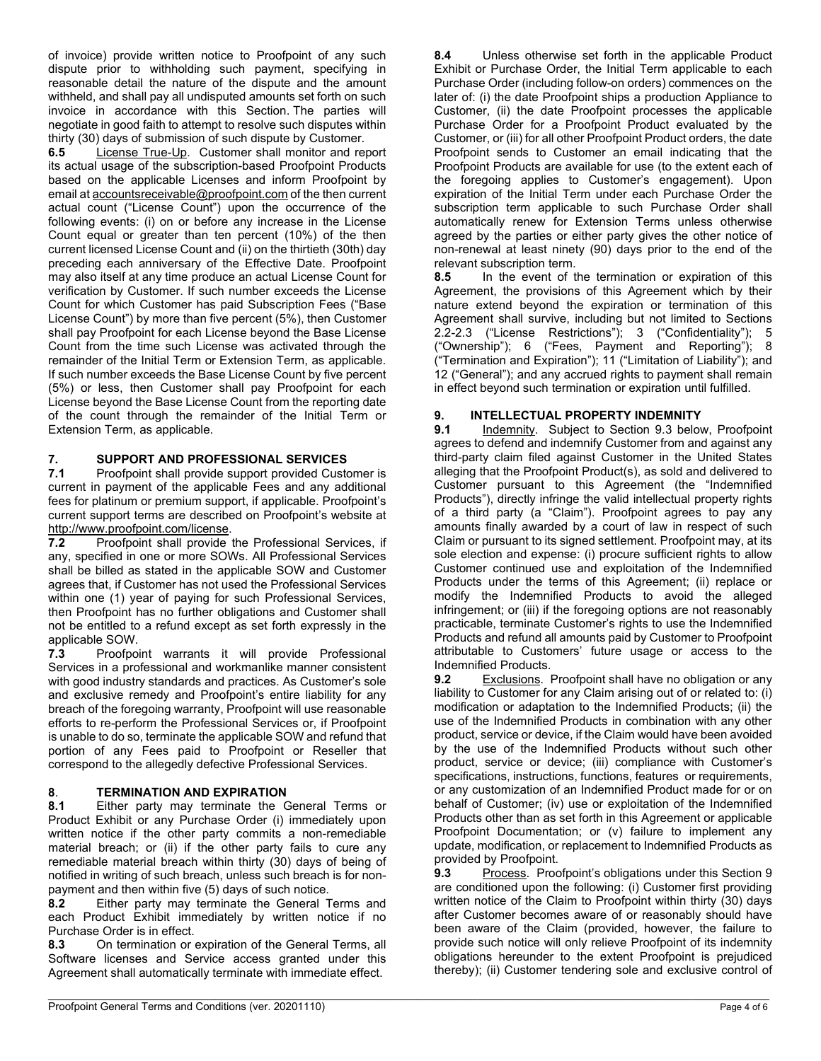of invoice) provide written notice to Proofpoint of any such dispute prior to withholding such payment, specifying in reasonable detail the nature of the dispute and the amount withheld, and shall pay all undisputed amounts set forth on such invoice in accordance with this Section. The parties will negotiate in good faith to attempt to resolve such disputes within thirty (30) days of submission of such dispute by Customer.

**6.5** License True-Up. Customer shall monitor and report its actual usage of the subscription-based Proofpoint Products based on the applicable Licenses and inform Proofpoint by email a[t accountsreceivable@proofpoint.com](mailto:accountsreceivable@proofpoint.com) of the then current actual count ("License Count") upon the occurrence of the following events: (i) on or before any increase in the License Count equal or greater than ten percent (10%) of the then current licensed License Count and (ii) on the thirtieth (30th) day preceding each anniversary of the Effective Date. Proofpoint may also itself at any time produce an actual License Count for verification by Customer. If such number exceeds the License Count for which Customer has paid Subscription Fees ("Base License Count") by more than five percent (5%), then Customer shall pay Proofpoint for each License beyond the Base License Count from the time such License was activated through the remainder of the Initial Term or Extension Term, as applicable. If such number exceeds the Base License Count by five percent (5%) or less, then Customer shall pay Proofpoint for each License beyond the Base License Count from the reporting date of the count through the remainder of the Initial Term or Extension Term, as applicable.

### **7. SUPPORT AND PROFESSIONAL SERVICES**

**7.1** Proofpoint shall provide support provided Customer is current in payment of the applicable Fees and any additional fees for platinum or premium support, if applicable. Proofpoint's current support terms are described on Proofpoint's website at [http://www.proofpoint.com/license.](http://www.proofpoint.com/license)<br>**7.2** Proofpoint shall provide

Proofpoint shall provide the Professional Services, if any, specified in one or more SOWs. All Professional Services shall be billed as stated in the applicable SOW and Customer agrees that, if Customer has not used the Professional Services within one (1) year of paying for such Professional Services, then Proofpoint has no further obligations and Customer shall not be entitled to a refund except as set forth expressly in the applicable SOW.

**7.3** Proofpoint warrants it will provide Professional Services in a professional and workmanlike manner consistent with good industry standards and practices. As Customer's sole and exclusive remedy and Proofpoint's entire liability for any breach of the foregoing warranty, Proofpoint will use reasonable efforts to re-perform the Professional Services or, if Proofpoint is unable to do so, terminate the applicable SOW and refund that portion of any Fees paid to Proofpoint or Reseller that correspond to the allegedly defective Professional Services.

## **8**. **TERMINATION AND EXPIRATION**

**8.1** Either party may terminate the General Terms or Product Exhibit or any Purchase Order (i) immediately upon written notice if the other party commits a non-remediable material breach; or (ii) if the other party fails to cure any remediable material breach within thirty (30) days of being of notified in writing of such breach, unless such breach is for non-

payment and then within five (5) days of such notice.<br>**8.2** Either party may terminate the General T **8.2** Either party may terminate the General Terms and each Product Exhibit immediately by written notice if no Purchase Order is in effect.

**8.3** On termination or expiration of the General Terms, all Software licenses and Service access granted under this Agreement shall automatically terminate with immediate effect.

**8.4** Unless otherwise set forth in the applicable Product Exhibit or Purchase Order, the Initial Term applicable to each Purchase Order (including follow-on orders) commences on the later of: (i) the date Proofpoint ships a production Appliance to Customer, (ii) the date Proofpoint processes the applicable Purchase Order for a Proofpoint Product evaluated by the Customer, or (iii) for all other Proofpoint Product orders, the date Proofpoint sends to Customer an email indicating that the Proofpoint Products are available for use (to the extent each of the foregoing applies to Customer's engagement). Upon expiration of the Initial Term under each Purchase Order the subscription term applicable to such Purchase Order shall automatically renew for Extension Terms unless otherwise agreed by the parties or either party gives the other notice of non-renewal at least ninety (90) days prior to the end of the relevant subscription term.<br>8.5 In the event of the

**8.5** In the event of the termination or expiration of this Agreement, the provisions of this Agreement which by their nature extend beyond the expiration or termination of this Agreement shall survive, including but not limited to Sections 2.2-2.3 ("License Restrictions"); 3 ("Confidentiality"); 5 ("Ownership"); 6 ("Fees, Payment and Reporting"); 8 ("Termination and Expiration"); 11 ("Limitation of Liability"); and 12 ("General"); and any accrued rights to payment shall remain in effect beyond such termination or expiration until fulfilled.

### **9. INTELLECTUAL PROPERTY INDEMNITY**<br>**9.1 Indemnity.** Subject to Section 9.3 below

**9.1** Indemnity. Subject to Section 9.3 below, Proofpoint agrees to defend and indemnify Customer from and against any third-party claim filed against Customer in the United States alleging that the Proofpoint Product(s), as sold and delivered to Customer pursuant to this Agreement (the "Indemnified Products"), directly infringe the valid intellectual property rights of a third party (a "Claim"). Proofpoint agrees to pay any amounts finally awarded by a court of law in respect of such Claim or pursuant to its signed settlement. Proofpoint may, at its sole election and expense: (i) procure sufficient rights to allow Customer continued use and exploitation of the Indemnified Products under the terms of this Agreement; (ii) replace or modify the Indemnified Products to avoid the alleged infringement; or (iii) if the foregoing options are not reasonably practicable, terminate Customer's rights to use the Indemnified Products and refund all amounts paid by Customer to Proofpoint attributable to Customers' future usage or access to the Indemnified Products.<br>**9.2** Exclusions.

**9.2** Exclusions. Proofpoint shall have no obligation or any liability to Customer for any Claim arising out of or related to: (i) modification or adaptation to the Indemnified Products; (ii) the use of the Indemnified Products in combination with any other product, service or device, if the Claim would have been avoided by the use of the Indemnified Products without such other product, service or device; (iii) compliance with Customer's specifications, instructions, functions, features or requirements, or any customization of an Indemnified Product made for or on behalf of Customer; (iv) use or exploitation of the Indemnified Products other than as set forth in this Agreement or applicable Proofpoint Documentation; or (v) failure to implement any update, modification, or replacement to Indemnified Products as provided by Proofpoint.

**9.3** Process. Proofpoint's obligations under this Section 9 are conditioned upon the following: (i) Customer first providing written notice of the Claim to Proofpoint within thirty (30) days after Customer becomes aware of or reasonably should have been aware of the Claim (provided, however, the failure to provide such notice will only relieve Proofpoint of its indemnity obligations hereunder to the extent Proofpoint is prejudiced thereby); (ii) Customer tendering sole and exclusive control of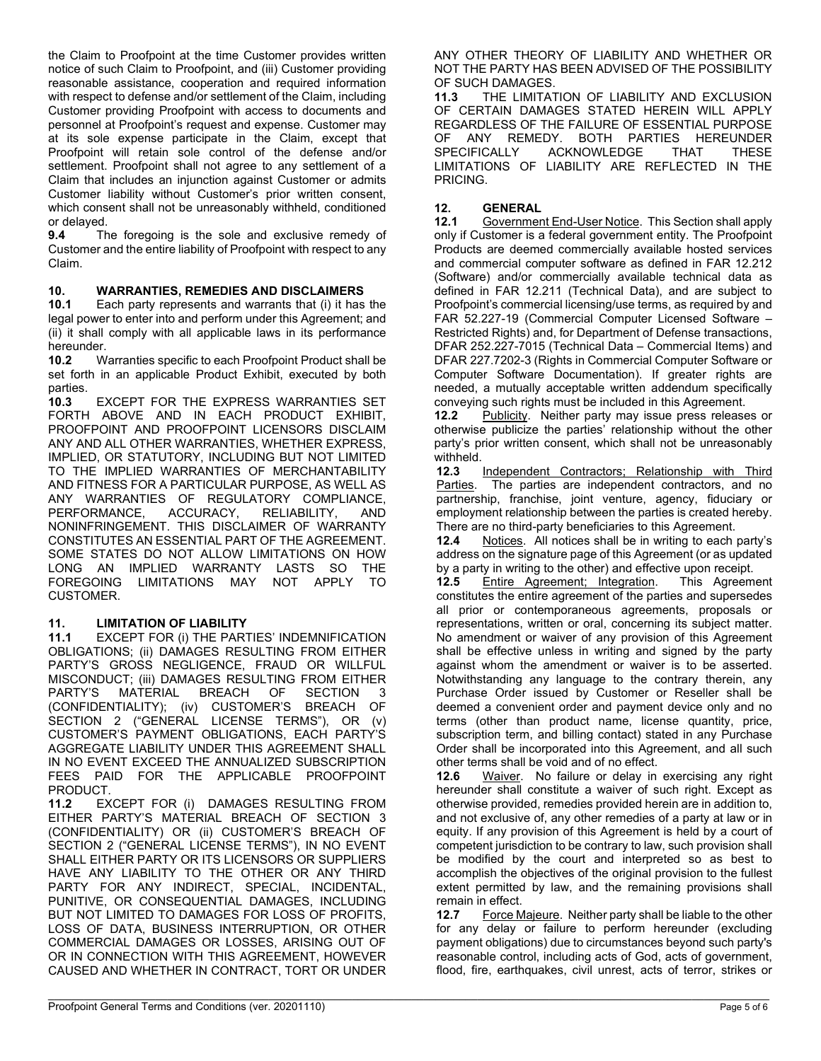the Claim to Proofpoint at the time Customer provides written notice of such Claim to Proofpoint, and (iii) Customer providing reasonable assistance, cooperation and required information with respect to defense and/or settlement of the Claim, including Customer providing Proofpoint with access to documents and personnel at Proofpoint's request and expense. Customer may at its sole expense participate in the Claim, except that Proofpoint will retain sole control of the defense and/or settlement. Proofpoint shall not agree to any settlement of a Claim that includes an injunction against Customer or admits Customer liability without Customer's prior written consent, which consent shall not be unreasonably withheld, conditioned

or delayed.<br>9.4 Th **9.4** The foregoing is the sole and exclusive remedy of Customer and the entire liability of Proofpoint with respect to any Claim.

#### **10. WARRANTIES, REMEDIES AND DISCLAIMERS**

**10.1** Each party represents and warrants that (i) it has the legal power to enter into and perform under this Agreement; and (ii) it shall comply with all applicable laws in its performance hereunder.

**10.2** Warranties specific to each Proofpoint Product shall be set forth in an applicable Product Exhibit, executed by both parties.<br>**10.3** 

**10.3** EXCEPT FOR THE EXPRESS WARRANTIES SET FORTH ABOVE AND IN EACH PRODUCT EXHIBIT, PROOFPOINT AND PROOFPOINT LICENSORS DISCLAIM ANY AND ALL OTHER WARRANTIES, WHETHER EXPRESS, IMPLIED, OR STATUTORY, INCLUDING BUT NOT LIMITED TO THE IMPLIED WARRANTIES OF MERCHANTABILITY AND FITNESS FOR A PARTICULAR PURPOSE, AS WELL AS ANY WARRANTIES OF REGULATORY COMPLIANCE, PERFORMANCE, ACCURACY, RELIABILITY, AND NONINFRINGEMENT. THIS DISCLAIMER OF WARRANTY CONSTITUTES AN ESSENTIAL PART OF THE AGREEMENT. SOME STATES DO NOT ALLOW LIMITATIONS ON HOW LONG AN IMPLIED WARRANTY LASTS SO THE FOREGOING LIMITATIONS MAY NOT APPLY TO CUSTOMER.

**11. LIMITATION OF LIABILITY 11.1** EXCEPT FOR (i) THE PARTIES' INDEMNIFICATION OBLIGATIONS; (ii) DAMAGES RESULTING FROM EITHER PARTY'S GROSS NEGLIGENCE, FRAUD OR WILLFUL MISCONDUCT; (iii) DAMAGES RESULTING FROM EITHER<br>PARTY'S MATERIAL BREACH OF SECTION 3 PARTY'S MATERIAL BREACH OF SECTION 3 (CONFIDENTIALITY); (iv) CUSTOMER'S BREACH OF SECTION 2 ("GENERAL LICENSE TERMS"), OR (v) CUSTOMER'S PAYMENT OBLIGATIONS, EACH PARTY'S AGGREGATE LIABILITY UNDER THIS AGREEMENT SHALL IN NO EVENT EXCEED THE ANNUALIZED SUBSCRIPTION FEES PAID FOR THE APPLICABLE PROOFPOINT

PRODUCT.<br>11.2 EX **11.2** EXCEPT FOR (i) DAMAGES RESULTING FROM EITHER PARTY'S MATERIAL BREACH OF SECTION 3 (CONFIDENTIALITY) OR (ii) CUSTOMER'S BREACH OF SECTION 2 ("GENERAL LICENSE TERMS"), IN NO EVENT SHALL EITHER PARTY OR ITS LICENSORS OR SUPPLIERS HAVE ANY LIABILITY TO THE OTHER OR ANY THIRD PARTY FOR ANY INDIRECT, SPECIAL, INCIDENTAL, PUNITIVE, OR CONSEQUENTIAL DAMAGES, INCLUDING BUT NOT LIMITED TO DAMAGES FOR LOSS OF PROFITS, LOSS OF DATA, BUSINESS INTERRUPTION, OR OTHER COMMERCIAL DAMAGES OR LOSSES, ARISING OUT OF OR IN CONNECTION WITH THIS AGREEMENT, HOWEVER CAUSED AND WHETHER IN CONTRACT, TORT OR UNDER

 $\mathcal{L}_\mathcal{L} = \mathcal{L}_\mathcal{L} = \mathcal{L}_\mathcal{L} = \mathcal{L}_\mathcal{L} = \mathcal{L}_\mathcal{L} = \mathcal{L}_\mathcal{L} = \mathcal{L}_\mathcal{L} = \mathcal{L}_\mathcal{L} = \mathcal{L}_\mathcal{L} = \mathcal{L}_\mathcal{L} = \mathcal{L}_\mathcal{L} = \mathcal{L}_\mathcal{L} = \mathcal{L}_\mathcal{L} = \mathcal{L}_\mathcal{L} = \mathcal{L}_\mathcal{L} = \mathcal{L}_\mathcal{L} = \mathcal{L}_\mathcal{L}$ 

ANY OTHER THEORY OF LIABILITY AND WHETHER OR NOT THE PARTY HAS BEEN ADVISED OF THE POSSIBILITY OF SUCH DAMAGES.

**11.3** THE LIMITATION OF LIABILITY AND EXCLUSION OF CERTAIN DAMAGES STATED HEREIN WILL APPLY REGARDLESS OF THE FAILURE OF ESSENTIAL PURPOSE<br>OF ANY REMEDY BOTH PARTIES HEREUNDER OF ANY REMEDY. BOTH PARTIES HEREUNDER<br>SPECIFICALLY ACKNOWLEDGE THAT THESE **ACKNOWLEDGE** LIMITATIONS OF LIABILITY ARE REFLECTED IN THE PRICING.

### 12. **GENERAL**<br>12.1 Governmen

**12.1** Government End-User Notice. This Section shall apply only if Customer is a federal government entity. The Proofpoint Products are deemed commercially available hosted services and commercial computer software as defined in FAR 12.212 (Software) and/or commercially available technical data as defined in FAR 12.211 (Technical Data), and are subject to Proofpoint's commercial licensing/use terms, as required by and FAR 52.227-19 (Commercial Computer Licensed Software – Restricted Rights) and, for Department of Defense transactions, DFAR 252.227-7015 (Technical Data – Commercial Items) and DFAR 227.7202-3 (Rights in Commercial Computer Software or Computer Software Documentation). If greater rights are needed, a mutually acceptable written addendum specifically conveying such rights must be included in this Agreement.<br>**12.2** Publicity. Neither party may issue press release

Publicity. Neither party may issue press releases or otherwise publicize the parties' relationship without the other party's prior written consent, which shall not be unreasonably withheld.<br>12.3

**12.3** Independent Contractors; Relationship with Third Parties. The parties are independent contractors, and no The parties are independent contractors, and no partnership, franchise, joint venture, agency, fiduciary or employment relationship between the parties is created hereby. There are no third-party beneficiaries to this Agreement.

**12.4** Notices. All notices shall be in writing to each party's address on the signature page of this Agreement (or as updated by a party in writing to the other) and effective upon receipt.

**12.5** Entire Agreement; Integration. This Agreement constitutes the entire agreement of the parties and supersedes all prior or contemporaneous agreements, proposals or representations, written or oral, concerning its subject matter. No amendment or waiver of any provision of this Agreement shall be effective unless in writing and signed by the party against whom the amendment or waiver is to be asserted. Notwithstanding any language to the contrary therein, any Purchase Order issued by Customer or Reseller shall be deemed a convenient order and payment device only and no terms (other than product name, license quantity, price, subscription term, and billing contact) stated in any Purchase Order shall be incorporated into this Agreement, and all such other terms shall be void and of no effect.

**12.6** Waiver. No failure or delay in exercising any right hereunder shall constitute a waiver of such right. Except as otherwise provided, remedies provided herein are in addition to, and not exclusive of, any other remedies of a party at law or in equity. If any provision of this Agreement is held by a court of competent jurisdiction to be contrary to law, such provision shall be modified by the court and interpreted so as best to accomplish the objectives of the original provision to the fullest extent permitted by law, and the remaining provisions shall remain in effect.

**12.7** Force Majeure. Neither party shall be liable to the other for any delay or failure to perform hereunder (excluding payment obligations) due to circumstances beyond such party's reasonable control, including acts of God, acts of government, flood, fire, earthquakes, civil unrest, acts of terror, strikes or